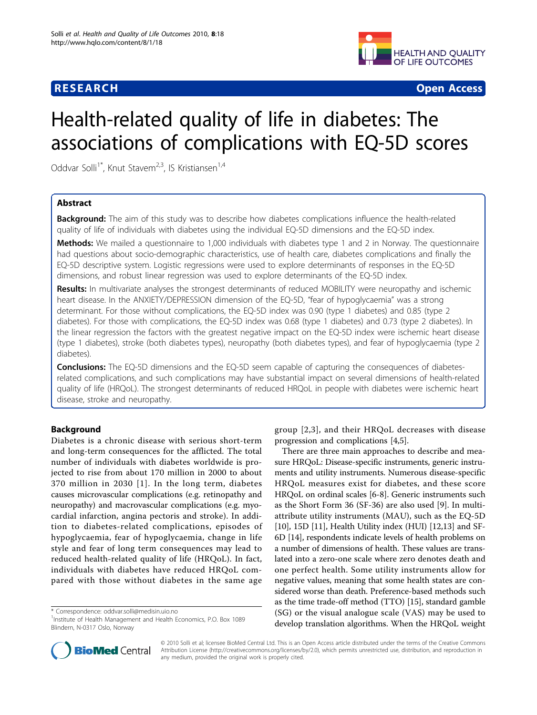# **RESEARCH CONSTRUCTION CONSTRUCTS**



# Health-related quality of life in diabetes: The associations of complications with EQ-5D scores

Oddvar Solli<sup>1\*</sup>, Knut Stavem<sup>2,3</sup>, IS Kristiansen<sup>1,4</sup>

# Abstract

**Background:** The aim of this study was to describe how diabetes complications influence the health-related quality of life of individuals with diabetes using the individual EQ-5D dimensions and the EQ-5D index.

Methods: We mailed a questionnaire to 1,000 individuals with diabetes type 1 and 2 in Norway. The questionnaire had questions about socio-demographic characteristics, use of health care, diabetes complications and finally the EQ-5D descriptive system. Logistic regressions were used to explore determinants of responses in the EQ-5D dimensions, and robust linear regression was used to explore determinants of the EQ-5D index.

Results: In multivariate analyses the strongest determinants of reduced MOBILITY were neuropathy and ischemic heart disease. In the ANXIETY/DEPRESSION dimension of the EQ-5D, "fear of hypoglycaemia" was a strong determinant. For those without complications, the EQ-5D index was 0.90 (type 1 diabetes) and 0.85 (type 2 diabetes). For those with complications, the EQ-5D index was 0.68 (type 1 diabetes) and 0.73 (type 2 diabetes). In the linear regression the factors with the greatest negative impact on the EQ-5D index were ischemic heart disease (type 1 diabetes), stroke (both diabetes types), neuropathy (both diabetes types), and fear of hypoglycaemia (type 2 diabetes).

**Conclusions:** The EQ-5D dimensions and the EQ-5D seem capable of capturing the consequences of diabetesrelated complications, and such complications may have substantial impact on several dimensions of health-related quality of life (HRQoL). The strongest determinants of reduced HRQoL in people with diabetes were ischemic heart disease, stroke and neuropathy.

# Background

Diabetes is a chronic disease with serious short-term and long-term consequences for the afflicted. The total number of individuals with diabetes worldwide is projected to rise from about 170 million in 2000 to about 370 million in 2030 [[1](#page-7-0)]. In the long term, diabetes causes microvascular complications (e.g. retinopathy and neuropathy) and macrovascular complications (e.g. myocardial infarction, angina pectoris and stroke). In addition to diabetes-related complications, episodes of hypoglycaemia, fear of hypoglycaemia, change in life style and fear of long term consequences may lead to reduced health-related quality of life (HRQoL). In fact, individuals with diabetes have reduced HRQoL compared with those without diabetes in the same age



There are three main approaches to describe and measure HRQoL: Disease-specific instruments, generic instruments and utility instruments. Numerous disease-specific HRQoL measures exist for diabetes, and these score HRQoL on ordinal scales [[6-8](#page-7-0)]. Generic instruments such as the Short Form 36 (SF-36) are also used [[9\]](#page-7-0). In multiattribute utility instruments (MAU), such as the EQ-5D [[10\]](#page-7-0), 15D [\[11](#page-7-0)], Health Utility index (HUI) [[12](#page-7-0),[13](#page-7-0)] and SF-6D [\[14](#page-7-0)], respondents indicate levels of health problems on a number of dimensions of health. These values are translated into a zero-one scale where zero denotes death and one perfect health. Some utility instruments allow for negative values, meaning that some health states are considered worse than death. Preference-based methods such as the time trade-off method (TTO) [[15](#page-7-0)], standard gamble (SG) or the visual analogue scale (VAS) may be used to develop translation algorithms. When the HRQoL weight



© 2010 Solli et al; licensee BioMed Central Ltd. This is an Open Access article distributed under the terms of the Creative Commons Attribution License [\(http://creativecommons.org/licenses/by/2.0](http://creativecommons.org/licenses/by/2.0)), which permits unrestricted use, distribution, and reproduction in any medium, provided the original work is properly cited.

<sup>\*</sup> Correspondence: [oddvar.solli@medisin.uio.no](mailto:oddvar.solli@medisin.uio.no)

<sup>&</sup>lt;sup>1</sup>Institute of Health Management and Health Economics, P.O. Box 1089 Blindern, N-0317 Oslo, Norway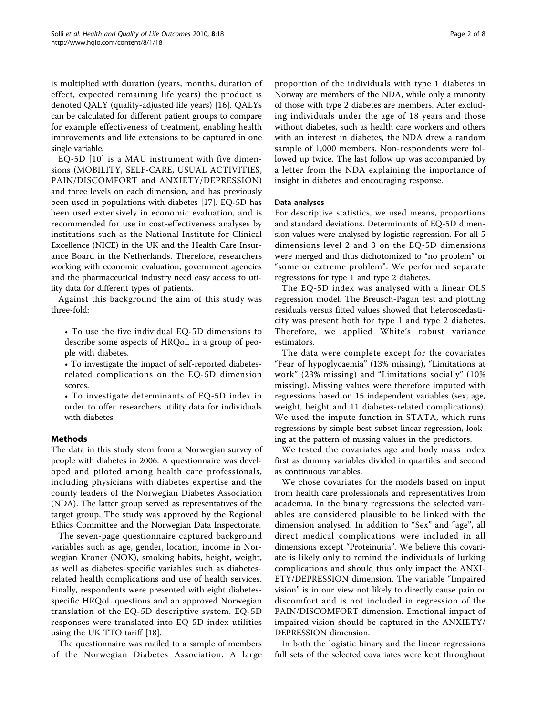is multiplied with duration (years, months, duration of effect, expected remaining life years) the product is denoted QALY (quality-adjusted life years) [[16\]](#page-7-0). QALYs can be calculated for different patient groups to compare for example effectiveness of treatment, enabling health improvements and life extensions to be captured in one single variable.

EQ-5D [[10](#page-7-0)] is a MAU instrument with five dimensions (MOBILITY, SELF-CARE, USUAL ACTIVITIES, PAIN/DISCOMFORT and ANXIETY/DEPRESSION) and three levels on each dimension, and has previously been used in populations with diabetes [[17\]](#page-7-0). EQ-5D has been used extensively in economic evaluation, and is recommended for use in cost-effectiveness analyses by institutions such as the National Institute for Clinical Excellence (NICE) in the UK and the Health Care Insurance Board in the Netherlands. Therefore, researchers working with economic evaluation, government agencies and the pharmaceutical industry need easy access to utility data for different types of patients.

Against this background the aim of this study was three-fold:

• To use the five individual EQ-5D dimensions to describe some aspects of HRQoL in a group of people with diabetes.

• To investigate the impact of self-reported diabetesrelated complications on the EQ-5D dimension scores.

• To investigate determinants of EQ-5D index in order to offer researchers utility data for individuals with diabetes.

# Methods

The data in this study stem from a Norwegian survey of people with diabetes in 2006. A questionnaire was developed and piloted among health care professionals, including physicians with diabetes expertise and the county leaders of the Norwegian Diabetes Association (NDA). The latter group served as representatives of the target group. The study was approved by the Regional Ethics Committee and the Norwegian Data Inspectorate.

The seven-page questionnaire captured background variables such as age, gender, location, income in Norwegian Kroner (NOK), smoking habits, height, weight, as well as diabetes-specific variables such as diabetesrelated health complications and use of health services. Finally, respondents were presented with eight diabetesspecific HRQoL questions and an approved Norwegian translation of the EQ-5D descriptive system. EQ-5D responses were translated into EQ-5D index utilities using the UK TTO tariff [\[18](#page-7-0)].

The questionnaire was mailed to a sample of members of the Norwegian Diabetes Association. A large proportion of the individuals with type 1 diabetes in Norway are members of the NDA, while only a minority of those with type 2 diabetes are members. After excluding individuals under the age of 18 years and those without diabetes, such as health care workers and others with an interest in diabetes, the NDA drew a random sample of 1,000 members. Non-respondents were followed up twice. The last follow up was accompanied by a letter from the NDA explaining the importance of insight in diabetes and encouraging response.

# Data analyses

For descriptive statistics, we used means, proportions and standard deviations. Determinants of EQ-5D dimension values were analysed by logistic regression. For all 5 dimensions level 2 and 3 on the EQ-5D dimensions were merged and thus dichotomized to "no problem" or "some or extreme problem". We performed separate regressions for type 1 and type 2 diabetes.

The EQ-5D index was analysed with a linear OLS regression model. The Breusch-Pagan test and plotting residuals versus fitted values showed that heteroscedasticity was present both for type 1 and type 2 diabetes. Therefore, we applied White's robust variance estimators.

The data were complete except for the covariates "Fear of hypoglycaemia" (13% missing), "Limitations at work" (23% missing) and "Limitations socially" (10% missing). Missing values were therefore imputed with regressions based on 15 independent variables (sex, age, weight, height and 11 diabetes-related complications). We used the impute function in STATA, which runs regressions by simple best-subset linear regression, looking at the pattern of missing values in the predictors.

We tested the covariates age and body mass index first as dummy variables divided in quartiles and second as continuous variables.

We chose covariates for the models based on input from health care professionals and representatives from academia. In the binary regressions the selected variables are considered plausible to be linked with the dimension analysed. In addition to "Sex" and "age", all direct medical complications were included in all dimensions except "Proteinuria". We believe this covariate is likely only to remind the individuals of lurking complications and should thus only impact the ANXI-ETY/DEPRESSION dimension. The variable "Impaired vision" is in our view not likely to directly cause pain or discomfort and is not included in regression of the PAIN/DISCOMFORT dimension. Emotional impact of impaired vision should be captured in the ANXIETY/ DEPRESSION dimension.

In both the logistic binary and the linear regressions full sets of the selected covariates were kept throughout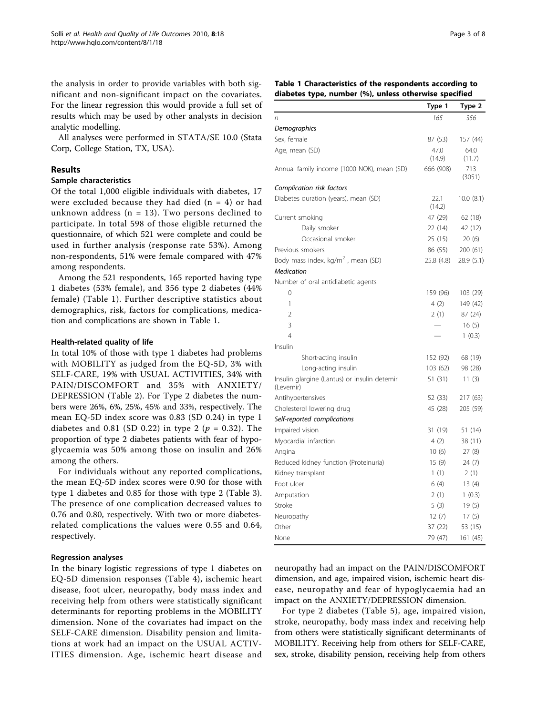the analysis in order to provide variables with both significant and non-significant impact on the covariates. For the linear regression this would provide a full set of results which may be used by other analysts in decision analytic modelling.

All analyses were performed in STATA/SE 10.0 (Stata Corp, College Station, TX, USA).

# Results

# Sample characteristics

Of the total 1,000 eligible individuals with diabetes, 17 were excluded because they had died  $(n = 4)$  or had unknown address ( $n = 13$ ). Two persons declined to participate. In total 598 of those eligible returned the questionnaire, of which 521 were complete and could be used in further analysis (response rate 53%). Among non-respondents, 51% were female compared with 47% among respondents.

Among the 521 respondents, 165 reported having type 1 diabetes (53% female), and 356 type 2 diabetes (44% female) (Table 1). Further descriptive statistics about demographics, risk, factors for complications, medication and complications are shown in Table 1.

#### Health-related quality of life

In total 10% of those with type 1 diabetes had problems with MOBILITY as judged from the EQ-5D, 3% with SELF-CARE, 19% with USUAL ACTIVITIES, 34% with PAIN/DISCOMFORT and 35% with ANXIETY/ DEPRESSION (Table [2](#page-3-0)). For Type 2 diabetes the numbers were 26%, 6%, 25%, 45% and 33%, respectively. The mean EQ-5D index score was 0.83 (SD 0.24) in type 1 diabetes and 0.81 (SD 0.22) in type 2 ( $p = 0.32$ ). The proportion of type 2 diabetes patients with fear of hypoglycaemia was 50% among those on insulin and 26% among the others.

For individuals without any reported complications, the mean EQ-5D index scores were 0.90 for those with type 1 diabetes and 0.85 for those with type 2 (Table [3](#page-3-0)). The presence of one complication decreased values to 0.76 and 0.80, respectively. With two or more diabetesrelated complications the values were 0.55 and 0.64, respectively.

#### Regression analyses

In the binary logistic regressions of type 1 diabetes on EQ-5D dimension responses (Table [4\)](#page-4-0), ischemic heart disease, foot ulcer, neuropathy, body mass index and receiving help from others were statistically significant determinants for reporting problems in the MOBILITY dimension. None of the covariates had impact on the SELF-CARE dimension. Disability pension and limitations at work had an impact on the USUAL ACTIV-ITIES dimension. Age, ischemic heart disease and

# Table 1 Characteristics of the respondents according to diabetes type, number (%), unless otherwise specified

|                                                           | Type 1         | Type 2        |
|-----------------------------------------------------------|----------------|---------------|
| n                                                         | 165            | 356           |
| Demographics                                              |                |               |
| Sex, female                                               | 87 (53)        | 157 (44)      |
| Age, mean (SD)                                            | 47.0           | 64.0          |
|                                                           | (14.9)         | (11.7)        |
| Annual family income (1000 NOK), mean (SD)                | 666 (908)      | 713<br>(3051) |
| Complication risk factors                                 |                |               |
| Diabetes duration (years), mean (SD)                      | 22.1<br>(14.2) | 10.0 (8.1)    |
| Current smoking                                           | 47 (29)        | 62 (18)       |
| Daily smoker                                              | 22 (14)        | 42 (12)       |
| Occasional smoker                                         | 25 (15)        | 20(6)         |
| Previous smokers                                          | 86 (55)        | 200 (61)      |
| Body mass index, $kg/m2$ , mean (SD)                      | 25.8 (4.8)     | 28.9 (5.1)    |
| Medication                                                |                |               |
| Number of oral antidiabetic agents                        |                |               |
| 0                                                         | 159 (96)       | 103 (29)      |
| 1                                                         | 4(2)           | 149 (42)      |
| $\overline{2}$                                            | 2(1)           | 87 (24)       |
| 3                                                         |                | 16(5)         |
| 4                                                         |                | 1(0.3)        |
| Insulin                                                   |                |               |
| Short-acting insulin                                      | 152 (92)       | 68 (19)       |
| Long-acting insulin                                       | 103(62)        | 98 (28)       |
| Insulin glargine (Lantus) or insulin detemir<br>(Levemir) | 51 (31)        | 11(3)         |
| Antihypertensives                                         | 52 (33)        | 217 (63)      |
| Cholesterol lowering drug                                 | 45 (28)        | 205 (59)      |
| Self-reported complications                               |                |               |
| Impaired vision                                           | 31 (19)        | 51 (14)       |
| Myocardial infarction                                     | 4 (2)          | 38 (11)       |
| Angina                                                    | 10(6)          | 27 (8)        |
| Reduced kidney function (Proteinuria)                     | 15(9)          | 24(7)         |
| Kidney transplant                                         | 1(1)           | 2(1)          |
| Foot ulcer                                                | 6(4)           | 13(4)         |
| Amputation                                                | 2(1)           | 1(0.3)        |
| Stroke                                                    | 5(3)           | 19(5)         |
| Neuropathy                                                | 12(7)          | 17(5)         |
| Other                                                     | 37 (22)        | 53 (15)       |
| None                                                      | 79 (47)        | 161 (45)      |

neuropathy had an impact on the PAIN/DISCOMFORT dimension, and age, impaired vision, ischemic heart disease, neuropathy and fear of hypoglycaemia had an impact on the ANXIETY/DEPRESSION dimension.

For type 2 diabetes (Table [5](#page-5-0)), age, impaired vision, stroke, neuropathy, body mass index and receiving help from others were statistically significant determinants of MOBILITY. Receiving help from others for SELF-CARE, sex, stroke, disability pension, receiving help from others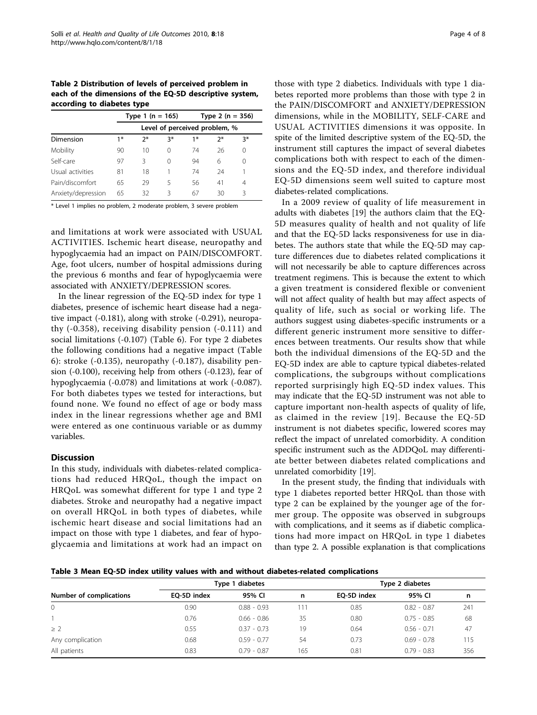<span id="page-3-0"></span>Table 2 Distribution of levels of perceived problem in each of the dimensions of the EQ-5D descriptive system, according to diabetes type

|                    |      | Type 1 (n = 165)              |    |      | Type 2 ( $n = 356$ ) |    |  |
|--------------------|------|-------------------------------|----|------|----------------------|----|--|
|                    |      | Level of perceived problem, % |    |      |                      |    |  |
| Dimension          | $1*$ | $2*$                          | 3* | $1*$ | ን*                   | 3* |  |
| Mobility           | 90   | 10                            | 0  | 74   | 26                   | 0  |  |
| Self-care          | 97   | Β                             | 0  | 94   | 6                    | 0  |  |
| Usual activities   | 81   | 18                            |    | 74   | 24                   |    |  |
| Pain/discomfort    | 65   | 29                            | 5  | 56   | 41                   | 4  |  |
| Anxiety/depression | 65   | 32                            | 3  | 67   | 30                   | ζ  |  |

\* Level 1 implies no problem, 2 moderate problem, 3 severe problem

and limitations at work were associated with USUAL ACTIVITIES. Ischemic heart disease, neuropathy and hypoglycaemia had an impact on PAIN/DISCOMFORT. Age, foot ulcers, number of hospital admissions during the previous 6 months and fear of hypoglycaemia were associated with ANXIETY/DEPRESSION scores.

In the linear regression of the EQ-5D index for type 1 diabetes, presence of ischemic heart disease had a negative impact (-0.181), along with stroke (-0.291), neuropathy (-0.358), receiving disability pension (-0.111) and social limitations (-0.107) (Table [6\)](#page-6-0). For type 2 diabetes the following conditions had a negative impact (Table [6\)](#page-6-0): stroke (-0.135), neuropathy (-0.187), disability pension (-0.100), receiving help from others (-0.123), fear of hypoglycaemia (-0.078) and limitations at work (-0.087). For both diabetes types we tested for interactions, but found none. We found no effect of age or body mass index in the linear regressions whether age and BMI were entered as one continuous variable or as dummy variables.

#### Discussion

In this study, individuals with diabetes-related complications had reduced HRQoL, though the impact on HRQoL was somewhat different for type 1 and type 2 diabetes. Stroke and neuropathy had a negative impact on overall HRQoL in both types of diabetes, while ischemic heart disease and social limitations had an impact on those with type 1 diabetes, and fear of hypoglycaemia and limitations at work had an impact on

those with type 2 diabetics. Individuals with type 1 diabetes reported more problems than those with type 2 in the PAIN/DISCOMFORT and ANXIETY/DEPRESSION dimensions, while in the MOBILITY, SELF-CARE and USUAL ACTIVITIES dimensions it was opposite. In spite of the limited descriptive system of the EQ-5D, the instrument still captures the impact of several diabetes complications both with respect to each of the dimensions and the EQ-5D index, and therefore individual EQ-5D dimensions seem well suited to capture most diabetes-related complications.

In a 2009 review of quality of life measurement in adults with diabetes [[19](#page-7-0)] the authors claim that the EQ-5D measures quality of health and not quality of life and that the EQ-5D lacks responsiveness for use in diabetes. The authors state that while the EQ-5D may capture differences due to diabetes related complications it will not necessarily be able to capture differences across treatment regimens. This is because the extent to which a given treatment is considered flexible or convenient will not affect quality of health but may affect aspects of quality of life, such as social or working life. The authors suggest using diabetes-specific instruments or a different generic instrument more sensitive to differences between treatments. Our results show that while both the individual dimensions of the EQ-5D and the EQ-5D index are able to capture typical diabetes-related complications, the subgroups without complications reported surprisingly high EQ-5D index values. This may indicate that the EQ-5D instrument was not able to capture important non-health aspects of quality of life, as claimed in the review [[19](#page-7-0)]. Because the EQ-5D instrument is not diabetes specific, lowered scores may reflect the impact of unrelated comorbidity. A condition specific instrument such as the ADDQoL may differentiate better between diabetes related complications and unrelated comorbidity [[19\]](#page-7-0).

In the present study, the finding that individuals with type 1 diabetes reported better HRQoL than those with type 2 can be explained by the younger age of the former group. The opposite was observed in subgroups with complications, and it seems as if diabetic complications had more impact on HRQoL in type 1 diabetes than type 2. A possible explanation is that complications

Table 3 Mean EQ-5D index utility values with and without diabetes-related complications

|                         | Type 1 diabetes |               |     | Type 2 diabetes |               |     |
|-------------------------|-----------------|---------------|-----|-----------------|---------------|-----|
| Number of complications | EO-5D index     | 95% CI        | n   | EO-5D index     | 95% CI        | n   |
| $\overline{0}$          | 0.90            | $0.88 - 0.93$ | 11، | 0.85            | $0.82 - 0.87$ | 241 |
|                         | 0.76            | $0.66 - 0.86$ | 35  | 0.80            | $0.75 - 0.85$ | 68  |
| $\geq$ 2                | 0.55            | $0.37 - 0.73$ | 19  | 0.64            | $0.56 - 0.71$ | 47  |
| Any complication        | 0.68            | $0.59 - 0.77$ | 54  | 0.73            | $0.69 - 0.78$ | 115 |
| All patients            | 0.83            | $0.79 - 0.87$ | 165 | 0.81            | $0.79 - 0.83$ | 356 |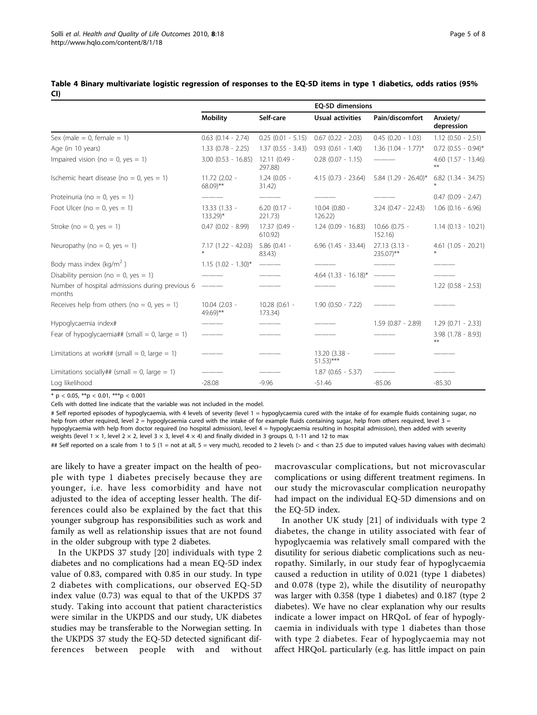|                                                           |                                        |                            | EQ-5D dimensions                        |                             |                            |
|-----------------------------------------------------------|----------------------------------------|----------------------------|-----------------------------------------|-----------------------------|----------------------------|
|                                                           | <b>Mobility</b>                        | Self-care                  | <b>Usual activities</b>                 | Pain/discomfort             | Anxiety/<br>depression     |
| Sex (male = $0$ , female = 1)                             | $0.63$ $(0.14 - 2.74)$                 | $0.25(0.01 - 5.15)$        | $0.67$ $(0.22 - 2.03)$                  | $0.45$ (0.20 - 1.03)        | $1.12$ (0.50 - 2.51)       |
| Age (in 10 years)                                         | $1.33$ (0.78 - 2.25)                   | $1.37(0.55 - 3.43)$        | $0.93(0.61 - 1.40)$                     | $1.36$ (1.04 - 1.77)*       | $0.72$ (0.55 - 0.94)*      |
| Impaired vision (no = 0, yes = 1)                         | $3.00$ (0.53 - 16.85)                  | $12.11(0.49 -$<br>297.88)  | $0.28$ $(0.07 - 1.15)$                  |                             | $4.60$ $(1.57 - 13.46)$    |
| Ischemic heart disease (no = 0, yes = 1)                  | 11.72 (2.02 -<br>$68.09$ <sup>**</sup> | $1.24(0.05 -$<br>31.42)    | $4.15$ (0.73 - 23.64)                   | $5.84$ (1.29 - 26.40)*      | $6.82$ (1.34 - 34.75)      |
| Proteinuria (no = 0, yes = 1)                             |                                        |                            |                                         |                             | $0.47$ (0.09 - 2.47)       |
| Foot Ulcer (no = 0, yes = 1)                              | 13.33 (1.33 -<br>133.29)*              | $6.20(0.17 -$<br>221.73)   | 10.04 (0.80 -<br>126.22)                | $3.24$ (0.47 - 22.43)       | $1.06$ (0.16 - 6.96)       |
| Stroke ( $no = 0$ , $yes = 1$ )                           | $0.47$ (0.02 - 8.99)                   | 17.37 (0.49 -<br>610.92)   | $1.24$ (0.09 - 16.83)                   | 10.66 (0.75 -<br>152.16)    | $1.14(0.13 - 10.21)$       |
| Neuropathy (no = 0, yes = 1)                              | $7.17(1.22 - 42.03)$                   | $5.86(0.41 -$<br>83.43)    | $6.96$ $(1.45 - 33.44)$                 | $27.13(3.13 -$<br>235.07)** | $4.61$ (1.05 - 20.21)      |
| Body mass index (kg/m <sup>2</sup> )                      | $1.15$ (1.02 - 1.30)*                  | $  -$                      |                                         |                             |                            |
| Disability pension (no = 0, yes = 1)                      |                                        |                            | $4.64$ (1.33 - 16.18)*                  |                             |                            |
| Number of hospital admissions during previous 6<br>months |                                        |                            |                                         |                             | $1.22$ (0.58 - 2.53)       |
| Receives help from others (no = 0, yes = 1)               | 10.04 (2.03 -<br>49.69)**              | $10.28$ (0.61 -<br>173.34) | $1.90$ (0.50 - 7.22)                    |                             |                            |
| Hypoglycaemia index#                                      |                                        |                            |                                         | $1.59$ (0.87 - 2.89)        | $1.29(0.71 - 2.33)$        |
| Fear of hypoglycaemia## (small = 0, large = 1)            |                                        |                            |                                         |                             | $3.98$ (1.78 - 8.93)<br>** |
| Limitations at work## (small = 0, large = 1)              |                                        |                            | 13.20 (3.38 -<br>$51.53$ <sup>***</sup> |                             |                            |
| Limitations socially## (small = 0, large = 1)             |                                        |                            | $1.87(0.65 - 5.37)$                     |                             |                            |
| Log likelihood                                            | $-28.08$                               | $-9.96$                    | $-51.46$                                | $-85.06$                    | $-85.30$                   |

<span id="page-4-0"></span>Table 4 Binary multivariate logistic regression of responses to the EQ-5D items in type 1 diabetics, odds ratios (95% CI)

 $*$  p < 0.05,  $*$  $p$  < 0.01,  $**$  $p$  < 0.001

Cells with dotted line indicate that the variable was not included in the model.

# Self reported episodes of hypoglycaemia, with 4 levels of severity (level 1 = hypoglycaemia cured with the intake of for example fluids containing sugar, no help from other required, level 2 = hypoglycaemia cured with the intake of for example fluids containing sugar, help from others required, level 3 = hypoglycaemia with help from doctor required (no hospital admission), level 4 = hypoglycaemia resulting in hospital admission), then added with severity weights (level  $1 \times 1$ , level  $2 \times 2$ , level  $3 \times 3$ , level  $4 \times 4$ ) and finally divided in 3 groups 0, 1-11 and 12 to max

## Self reported on a scale from 1 to 5 (1 = not at all, 5 = very much), recoded to 2 levels (> and < than 2.5 due to imputed values having values with decimals)

are likely to have a greater impact on the health of people with type 1 diabetes precisely because they are younger, i.e. have less comorbidity and have not adjusted to the idea of accepting lesser health. The differences could also be explained by the fact that this younger subgroup has responsibilities such as work and family as well as relationship issues that are not found in the older subgroup with type 2 diabetes.

In the UKPDS 37 study [\[20\]](#page-7-0) individuals with type 2 diabetes and no complications had a mean EQ-5D index value of 0.83, compared with 0.85 in our study. In type 2 diabetes with complications, our observed EQ-5D index value (0.73) was equal to that of the UKPDS 37 study. Taking into account that patient characteristics were similar in the UKPDS and our study, UK diabetes studies may be transferable to the Norwegian setting. In the UKPDS 37 study the EQ-5D detected significant differences between people with and without

macrovascular complications, but not microvascular complications or using different treatment regimens. In our study the microvascular complication neuropathy had impact on the individual EQ-5D dimensions and on the EQ-5D index.

In another UK study [[21](#page-7-0)] of individuals with type 2 diabetes, the change in utility associated with fear of hypoglycaemia was relatively small compared with the disutility for serious diabetic complications such as neuropathy. Similarly, in our study fear of hypoglycaemia caused a reduction in utility of 0.021 (type 1 diabetes) and 0.078 (type 2), while the disutility of neuropathy was larger with 0.358 (type 1 diabetes) and 0.187 (type 2 diabetes). We have no clear explanation why our results indicate a lower impact on HRQoL of fear of hypoglycaemia in individuals with type 1 diabetes than those with type 2 diabetes. Fear of hypoglycaemia may not affect HRQoL particularly (e.g. has little impact on pain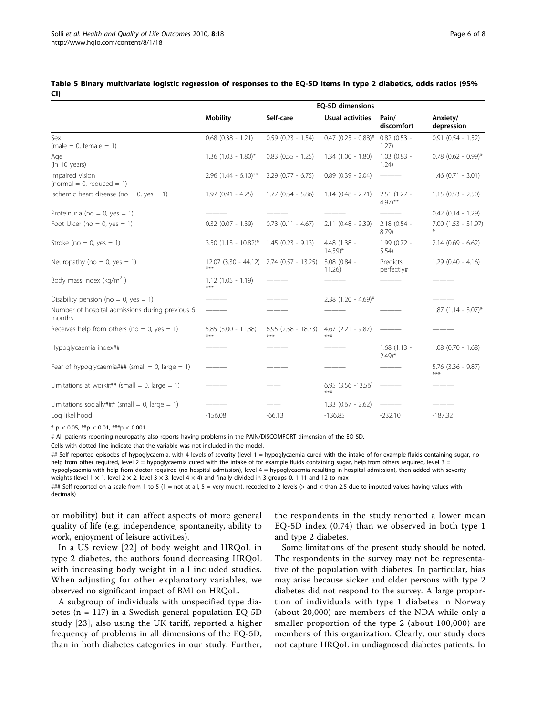|                                                           | EQ-5D dimensions               |                                |                                      |                                       |                                   |  |
|-----------------------------------------------------------|--------------------------------|--------------------------------|--------------------------------------|---------------------------------------|-----------------------------------|--|
|                                                           | <b>Mobility</b>                | Self-care                      | <b>Usual activities</b>              | Pain/<br>discomfort                   | Anxiety/<br>depression            |  |
| Sex<br>$(male = 0, female = 1)$                           | $0.68$ $(0.38 - 1.21)$         | $0.59$ $(0.23 - 1.54)$         | $0.47$ (0.25 - 0.88)*                | $0.82$ (0.53 -<br>1.27)               | $0.91$ $(0.54 - 1.52)$            |  |
| Age<br>(in 10 years)                                      | $1.36$ (1.03 - 1.80)*          | $0.83$ $(0.55 - 1.25)$         | $1.34(1.00 - 1.80)$                  | $1.03$ (0.83 -<br>1.24)               | $0.78$ (0.62 - 0.99)*             |  |
| Impaired vision<br>$normal = 0$ , reduced = 1)            | $2.96$ (1.44 - 6.10)**         | $2.29$ (0.77 - 6.75)           | $0.89$ $(0.39 - 2.04)$               |                                       | $1.46$ (0.71 - 3.01)              |  |
| Ischemic heart disease (no = $0$ , yes = 1)               | $1.97(0.91 - 4.25)$            | $1.77$ $(0.54 - 5.86)$         | $1.14$ (0.48 - 2.71)                 | $2.51(1.27 -$<br>$4.97$ <sup>**</sup> | $1.15(0.53 - 2.50)$               |  |
| Proteinuria (no = 0, yes = 1)                             |                                |                                |                                      |                                       | $0.42$ $(0.14 - 1.29)$            |  |
| Foot Ulcer (no = 0, yes = 1)                              | $0.32$ (0.07 - 1.39)           | $0.73$ $(0.11 - 4.67)$         | $2.11(0.48 - 9.39)$                  | $2.18$ (0.54 -<br>8.79                | $7.00$ $(1.53 - 31.97)$<br>$\ast$ |  |
| Stroke (no = 0, yes = 1)                                  | $3.50$ (1.13 - 10.82)*         | $1.45(0.23 - 9.13)$            | 4.48 (1.38 -<br>$14.59$ <sup>*</sup> | 1.99 (0.72 -<br>5.54)                 | $2.14$ (0.69 - 6.62)              |  |
| Neuropathy (no = 0, yes = 1)                              | $12.07(3.30 - 44.12)$<br>***   | 2.74 (0.57 - 13.25)            | $3.08$ (0.84 -<br>11.26)             | Predicts<br>perfectly#                | $1.29$ (0.40 - 4.16)              |  |
| Body mass index (kg/m <sup>2</sup> )                      | $1.12(1.05 - 1.19)$<br>***     |                                |                                      |                                       |                                   |  |
| Disability pension (no = 0, yes = 1)                      |                                |                                | $2.38$ (1.20 - 4.69)*                |                                       |                                   |  |
| Number of hospital admissions during previous 6<br>months |                                |                                |                                      |                                       | $1.87$ (1.14 - 3.07)*             |  |
| Receives help from others (no = 0, yes = 1)               | $5.85$ $(3.00 - 11.38)$<br>*** | $6.95$ $(2.58 - 18.73)$<br>*** | $4.67$ (2.21 - 9.87)<br>***          |                                       |                                   |  |
| Hypoglycaemia index##                                     |                                |                                |                                      | $1.68(1.13 -$<br>$(2.49)^*$           | $1.08$ (0.70 - 1.68)              |  |
| Fear of hypoglycaemia### (small = 0, large = 1)           |                                |                                |                                      |                                       | $5.76$ $(3.36 - 9.87)$<br>***     |  |
| Limitations at work### (small = 0, large = 1)             |                                |                                | $6.95$ $(3.56 - 13.56)$<br>***       |                                       |                                   |  |
| Limitations socially### (small = 0, large = 1)            |                                |                                | $1.33$ (0.67 - 2.62)                 |                                       |                                   |  |
| Log likelihood                                            | $-156.08$                      | $-66.13$                       | $-136.85$                            | $-232.10$                             | $-187.32$                         |  |

<span id="page-5-0"></span>Table 5 Binary multivariate logistic regression of responses to the EQ-5D items in type 2 diabetics, odds ratios (95% CI)

\* p < 0.05, \*\*p < 0.01, \*\*\*p < 0.001

# All patients reporting neuropathy also reports having problems in the PAIN/DISCOMFORT dimension of the EQ-5D.

Cells with dotted line indicate that the variable was not included in the model.

## Self reported episodes of hypoglycaemia, with 4 levels of severity (level 1 = hypoglycaemia cured with the intake of for example fluids containing sugar, no help from other required, level 2 = hypoglycaemia cured with the intake of for example fluids containing sugar, help from others required, level 3 = hypoglycaemia with help from doctor required (no hospital admission), level 4 = hypoglycaemia resulting in hospital admission), then added with severity weights (level 1  $\times$  1, level 2  $\times$  2, level 3  $\times$  3, level 4  $\times$  4) and finally divided in 3 groups 0, 1-11 and 12 to max

### Self reported on a scale from 1 to 5 (1 = not at all, 5 = very much), recoded to 2 levels (> and < than 2.5 due to imputed values having values with decimals)

or mobility) but it can affect aspects of more general quality of life (e.g. independence, spontaneity, ability to work, enjoyment of leisure activities).

In a US review [[22\]](#page-7-0) of body weight and HRQoL in type 2 diabetes, the authors found decreasing HRQoL with increasing body weight in all included studies. When adjusting for other explanatory variables, we observed no significant impact of BMI on HRQoL.

A subgroup of individuals with unspecified type diabetes ( $n = 117$ ) in a Swedish general population EQ-5D study [[23](#page-7-0)], also using the UK tariff, reported a higher frequency of problems in all dimensions of the EQ-5D, than in both diabetes categories in our study. Further, the respondents in the study reported a lower mean EQ-5D index (0.74) than we observed in both type 1 and type 2 diabetes.

Some limitations of the present study should be noted. The respondents in the survey may not be representative of the population with diabetes. In particular, bias may arise because sicker and older persons with type 2 diabetes did not respond to the survey. A large proportion of individuals with type 1 diabetes in Norway (about 20,000) are members of the NDA while only a smaller proportion of the type 2 (about 100,000) are members of this organization. Clearly, our study does not capture HRQoL in undiagnosed diabetes patients. In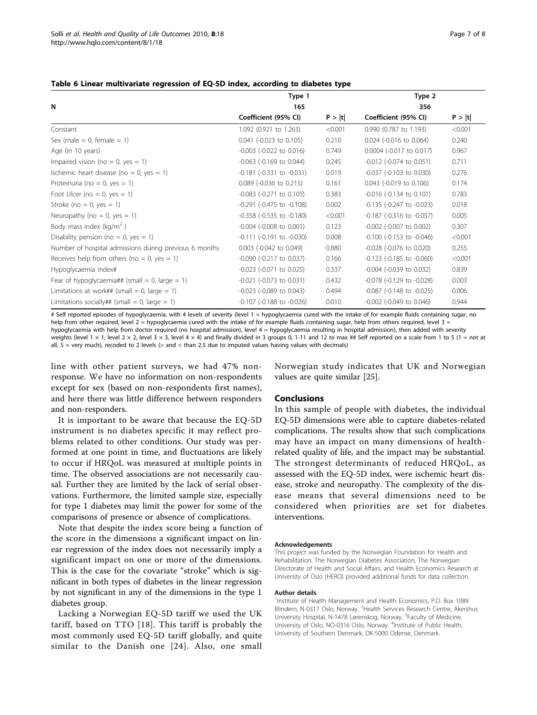|                                                        | Type 1                            |         | Type 2                            |         |  |
|--------------------------------------------------------|-----------------------------------|---------|-----------------------------------|---------|--|
| N                                                      | 165                               |         | 356                               |         |  |
|                                                        | Coefficient (95% CI)              | P >  t  | Coefficient (95% CI)              | P >  t  |  |
| Constant                                               | 1.092 (0.921 to 1.263)            | < 0.001 | 0.990 (0.787 to 1.193)            | < 0.001 |  |
| Sex (male = $0$ , female = 1)                          | 0.041 (-0.023 to 0.105)           | 0.210   | 0.024 (-0.016 to 0.064)           | 0.240   |  |
| Age (in 10 years)                                      | $-0.003$ $(-0.022$ to $0.016)$    | 0.749   | 0.0004 (-0.017 to 0.017)          | 0.967   |  |
| Impaired vision (no = 0, yes = 1)                      | $-0.063$ ( $-0.169$ to 0.044)     | 0.245   | $-0.012$ ( $-0.074$ to $0.051$ )  | 0.711   |  |
| Ischemic heart disease (no = 0, yes = 1)               | $-0.181$ $(-0.331$ to $-0.031)$   | 0.019   | -0.037 (-0.103 to 0.030)          | 0.276   |  |
| Proteinuria (no = 0, yes = 1)                          | 0.089 (-0.036 to 0.215)           | 0.161   | 0.043 (-0.019 to 0.106)           | 0.174   |  |
| Foot Ulcer (no = 0, yes = 1)                           | $-0.083$ ( $-0.271$ to 0.105)     | 0.383   | $-0.016$ ( $-0.134$ to 0.101)     | 0.783   |  |
| Stroke ( $no = 0$ , yes = 1)                           | $-0.291$ ( $-0.475$ to $-0.108$ ) | 0.002   | -0.135 (-0.247 to -0.023)         | 0.018   |  |
| Neuropathy (no = 0, yes = 1)                           | $-0.358$ ( $-0.535$ to $-0.180$ ) | < 0.001 | $-0.187$ ( $-0.316$ to $-0.057$ ) | 0.005   |  |
| Body mass index (kg/m <sup>2</sup> )                   | $-0.004$ ( $-0.008$ to $0.001$ )  | 0.123   | $-0.002$ ( $-0.007$ to $0.002$ )  | 0.307   |  |
| Disability pension (no = 0, yes = 1)                   | $-0.111$ $(-0.191$ to $-0.030)$   | 0.008   | -0.100 (-0.153 to -0.046)         | < 0.001 |  |
| Number of hospital admissions during previous 6 months | 0.003 (-0.042 to 0.049)           | 0.880   | -0.028 (-0.076 to 0.020)          | 0.255   |  |
| Receives help from others (no = 0, yes = 1)            | -0.090 (-0.217 to 0.037)          | 0.166   | $-0.123$ ( $-0.185$ to $-0.060$ ) | < 0.001 |  |
| Hypoglycaemia index#                                   | $-0.023$ ( $-0.071$ to 0.025)     | 0.337   | -0.004 (-0.039 to 0.032)          | 0.839   |  |
| Fear of hypoglycaemia## (small = 0, large = 1)         | $-0.021$ ( $-0.073$ to $0.031$ )  | 0.432   | -0.078 (-0.129 to -0.028)         | 0.003   |  |
| Limitations at work## (small = 0, large = 1)           | $-0.023$ ( $-0.089$ to 0.043)     | 0.494   | -0.087 (-0.148 to -0.025)         | 0.006   |  |
| Limitations socially## (small = 0, large = 1)          | $-0.107$ ( $-0.188$ to $-0.026$ ) | 0.010   | $-0.002$ ( $-0.049$ to $0.046$ )  | 0.944   |  |

#### <span id="page-6-0"></span>Table 6 Linear multivariate regression of EQ-5D index, according to diabetes type

# Self reported episodes of hypoglycaemia, with 4 levels of severity (level 1 = hypoglycaemia cured with the intake of for example fluids containing sugar, no help from other required, level  $2 =$  hypoglycaemia cured with the intake of for example fluids containing sugar, help from others required, level  $3 =$ hypoglycaemia with help from doctor required (no hospital admission), level 4 = hypoglycaemia resulting in hospital admission), then added with severity weights (level  $1 \times 1$ , level  $2 \times 2$ , level  $3 \times 3$ , level  $4 \times 4$ ) and finally divided in 3 groups 0, 1-11 and 12 to max ## Self reported on a scale from 1 to 5 (1 = not at all,  $5 =$  very much), recoded to 2 levels ( $>$  and  $<$  than 2.5 due to imputed values having values with decimals)

line with other patient surveys, we had 47% nonresponse. We have no information on non-respondents except for sex (based on non-respondents first names), and here there was little difference between responders and non-responders.

It is important to be aware that because the EQ-5D instrument is no diabetes specific it may reflect problems related to other conditions. Our study was performed at one point in time, and fluctuations are likely to occur if HRQoL was measured at multiple points in time. The observed associations are not necessarily causal. Further they are limited by the lack of serial observations. Furthermore, the limited sample size, especially for type 1 diabetes may limit the power for some of the comparisons of presence or absence of complications.

Note that despite the index score being a function of the score in the dimensions a significant impact on linear regression of the index does not necessarily imply a significant impact on one or more of the dimensions. This is the case for the covariate "stroke" which is significant in both types of diabetes in the linear regression by not significant in any of the dimensions in the type 1 diabetes group.

Lacking a Norwegian EQ-5D tariff we used the UK tariff, based on TTO [[18\]](#page-7-0). This tariff is probably the most commonly used EQ-5D tariff globally, and quite similar to the Danish one [[24\]](#page-7-0). Also, one small

Norwegian study indicates that UK and Norwegian values are quite similar [\[25\]](#page-7-0).

#### Conclusions

In this sample of people with diabetes, the individual EQ-5D dimensions were able to capture diabetes-related complications. The results show that such complications may have an impact on many dimensions of healthrelated quality of life, and the impact may be substantial. The strongest determinants of reduced HRQoL, as assessed with the EQ-5D index, were ischemic heart disease, stroke and neuropathy. The complexity of the disease means that several dimensions need to be considered when priorities are set for diabetes interventions.

#### Acknowledgements

This project was funded by the Norwegian Foundation for Health and Rehabilitation. The Norwegian Diabetes Association, The Norwegian Directorate of Health and Social Affairs, and Health Economics Research at University of Oslo (HERO) provided additional funds for data collection.

#### Author details

<sup>1</sup>Institute of Health Management and Health Economics, P.O. Box 1089 Blindern, N-0317 Oslo, Norway. <sup>2</sup> Health Services Research Centre, Akershus University Hospital, N-1478 Lørenskog, Norway. <sup>3</sup>Faculty of Medicine, University of Oslo, NO-0316 Oslo, Norway. <sup>4</sup>Institute of Public Health University of Southern Denmark, DK-5000 Odense, Denmark.